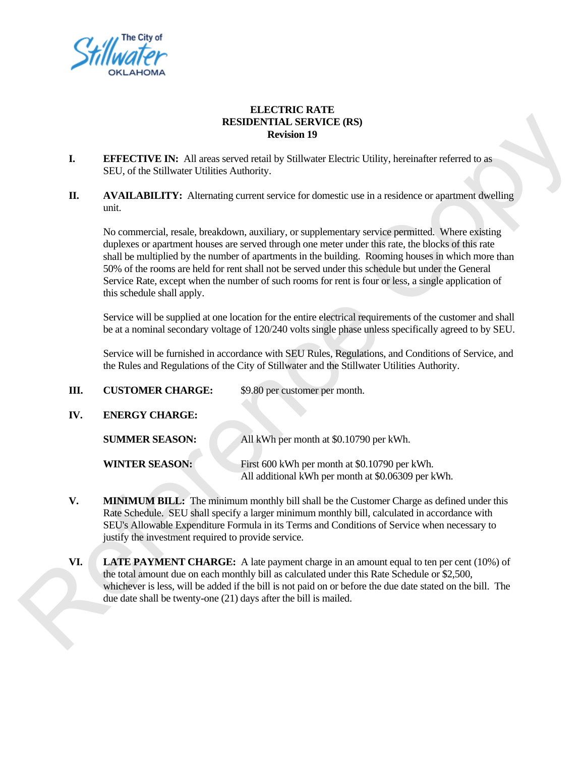

## **ELECTRIC RATE RESIDENTIAL SERVICE (RS) Revision 19**

- **I.** EFFECTIVE IN: All areas served retail by Stillwater Electric Utility, hereinafter referred to as SEU, of the Stillwater Utilities Authority.
- **II.** AVAILABILITY: Alternating current service for domestic use in a residence or apartment dwelling unit.

|     |                                                                                                                                                                                                                                                                                                                                                          | <b>RESIDENTIAL SERVICE (RS)</b><br><b>Revision 19</b>                                                                                                                                                                                                                                                                                                                                                                                                                                                                   |
|-----|----------------------------------------------------------------------------------------------------------------------------------------------------------------------------------------------------------------------------------------------------------------------------------------------------------------------------------------------------------|-------------------------------------------------------------------------------------------------------------------------------------------------------------------------------------------------------------------------------------------------------------------------------------------------------------------------------------------------------------------------------------------------------------------------------------------------------------------------------------------------------------------------|
| I.  | <b>EFFECTIVE IN:</b> All areas served retail by Stillwater Electric Utility, hereinafter referred to as<br>SEU, of the Stillwater Utilities Authority.                                                                                                                                                                                                   |                                                                                                                                                                                                                                                                                                                                                                                                                                                                                                                         |
| П.  | <b>AVAILABILITY:</b> Alternating current service for domestic use in a residence or apartment dwelling<br>unit.                                                                                                                                                                                                                                          |                                                                                                                                                                                                                                                                                                                                                                                                                                                                                                                         |
|     | this schedule shall apply.                                                                                                                                                                                                                                                                                                                               | No commercial, resale, breakdown, auxiliary, or supplementary service permitted. Where existing<br>duplexes or apartment houses are served through one meter under this rate, the blocks of this rate<br>shall be multiplied by the number of apartments in the building. Rooming houses in which more than<br>50% of the rooms are held for rent shall not be served under this schedule but under the General<br>Service Rate, except when the number of such rooms for rent is four or less, a single application of |
|     | Service will be supplied at one location for the entire electrical requirements of the customer and shall<br>be at a nominal secondary voltage of 120/240 volts single phase unless specifically agreed to by SEU.                                                                                                                                       |                                                                                                                                                                                                                                                                                                                                                                                                                                                                                                                         |
|     |                                                                                                                                                                                                                                                                                                                                                          | Service will be furnished in accordance with SEU Rules, Regulations, and Conditions of Service, and<br>the Rules and Regulations of the City of Stillwater and the Stillwater Utilities Authority.                                                                                                                                                                                                                                                                                                                      |
| Ш.  | <b>CUSTOMER CHARGE:</b>                                                                                                                                                                                                                                                                                                                                  | \$9.80 per customer per month.                                                                                                                                                                                                                                                                                                                                                                                                                                                                                          |
| IV. | <b>ENERGY CHARGE:</b>                                                                                                                                                                                                                                                                                                                                    |                                                                                                                                                                                                                                                                                                                                                                                                                                                                                                                         |
|     | <b>SUMMER SEASON:</b>                                                                                                                                                                                                                                                                                                                                    | All kWh per month at \$0.10790 per kWh.                                                                                                                                                                                                                                                                                                                                                                                                                                                                                 |
|     | <b>WINTER SEASON:</b>                                                                                                                                                                                                                                                                                                                                    | First 600 kWh per month at \$0.10790 per kWh.<br>All additional kWh per month at \$0.06309 per kWh.                                                                                                                                                                                                                                                                                                                                                                                                                     |
| V.  | <b>MINIMUM BILL:</b> The minimum monthly bill shall be the Customer Charge as defined under this<br>Rate Schedule. SEU shall specify a larger minimum monthly bill, calculated in accordance with<br>SEU's Allowable Expenditure Formula in its Terms and Conditions of Service when necessary to<br>justify the investment required to provide service. |                                                                                                                                                                                                                                                                                                                                                                                                                                                                                                                         |
| VI. |                                                                                                                                                                                                                                                                                                                                                          | <b>LATE PAYMENT CHARGE:</b> A late payment charge in an amount equal to ten per cent (10%) of<br>the total amount due on each monthly bill as calculated under this Rate Schedule or \$2,500,<br>whichever is less, will be added if the bill is not paid on or before the due date stated on the bill. The<br>due date shall be twenty-one (21) days after the bill is mailed.                                                                                                                                         |

- **V.** MINIMUM BILL: The minimum monthly bill shall be the Customer Charge as defined under this Rate Schedule. SEU shall specify a larger minimum monthly bill, calculated in accordance with SEU's Allowable Expenditure Formula in its Terms and Conditions of Service when necessary to justify the investment required to provide service.
- **VI. LATE PAYMENT CHARGE:** A late payment charge in an amount equal to ten per cent (10%) of the total amount due on each monthly bill as calculated under this Rate Schedule or \$2,500, whichever is less, will be added if the bill is not paid on or before the due date stated on the bill. The due date shall be twenty-one (21) days after the bill is mailed.